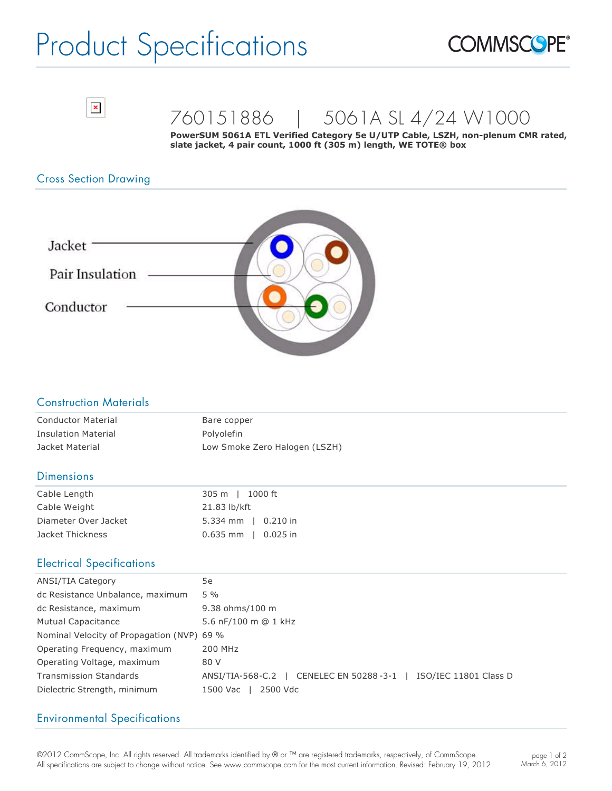# Product Specifications





### 760151886 | 5061A SL 4/24 W1000

PowerSUM 5061A ETL Verified Category 5e U/UTP Cable, LSZH, non-plenum CMR rated, **slate jacket, 4 pair count, 1000 ft (305 m) length, WE TOTE® box**

#### Cross Section Drawing



#### Construction Materials

| <b>Conductor Material</b>  | Bare copper                   |
|----------------------------|-------------------------------|
| <b>Insulation Material</b> | Polvolefin                    |
| Jacket Material            | Low Smoke Zero Halogen (LSZH) |

#### **Dimensions**

| Cable Length         | 305 m   1000 ft                 |
|----------------------|---------------------------------|
| Cable Weight         | 21.83 lb/kft                    |
| Diameter Over Jacket | $5.334 \text{ mm}$   0.210 in   |
| Jacket Thickness     | $0.635$ mm $\parallel$ 0.025 in |

#### Electrical Specifications

| <b>ANSI/TIA Category</b>                   | 5e                                                              |
|--------------------------------------------|-----------------------------------------------------------------|
| dc Resistance Unbalance, maximum           | $5\%$                                                           |
| dc Resistance, maximum                     | 9.38 ohms/100 m                                                 |
| <b>Mutual Capacitance</b>                  | 5.6 nF/100 m @ 1 kHz                                            |
| Nominal Velocity of Propagation (NVP) 69 % |                                                                 |
| Operating Frequency, maximum               | 200 MHz                                                         |
| Operating Voltage, maximum                 | 80 V                                                            |
| <b>Transmission Standards</b>              | ANSI/TIA-568-C.2   CENELEC EN 50288-3-1   ISO/IEC 11801 Class D |
| Dielectric Strength, minimum               | 2500 Vdc<br>1500 Vac                                            |

#### Environmental Specifications

©2012 CommScope, Inc. All rights reserved. All trademarks identified by ® or ™ are registered trademarks, respectively, of CommScope. All specifications are subject to change without notice. See www.commscope.com for the most current information. Revised: February 19, 2012